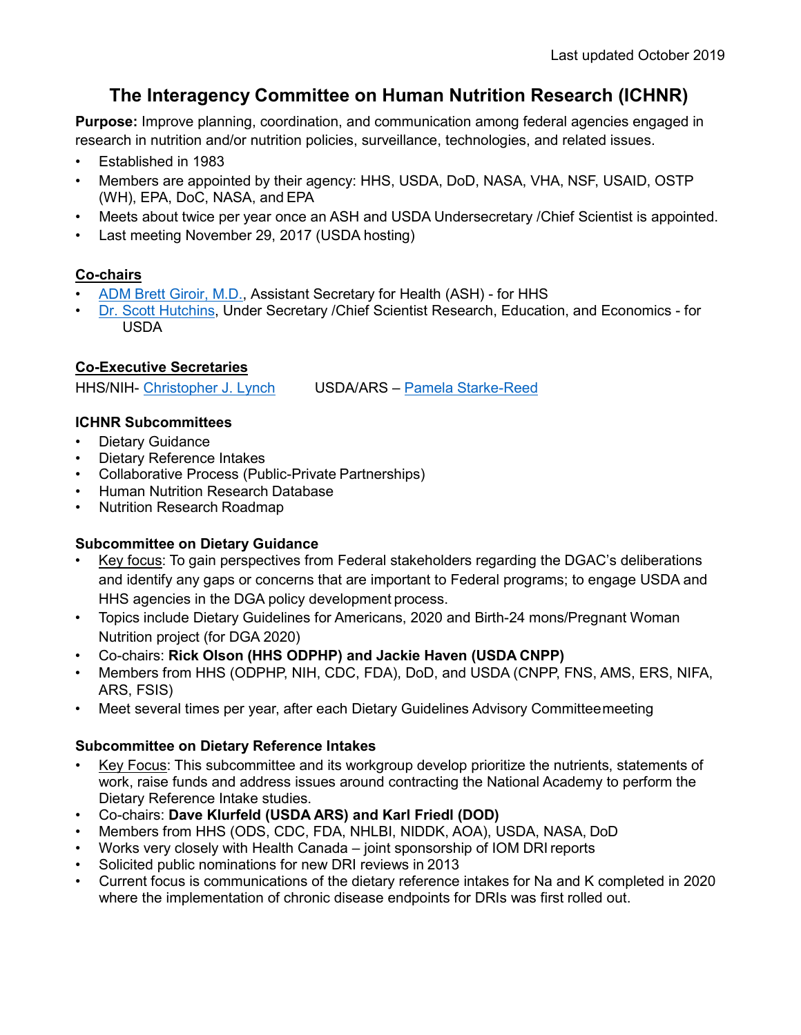# **The Interagency Committee on Human Nutrition Research (ICHNR)**

**Purpose:** Improve planning, coordination, and communication among federal agencies engaged in research in nutrition and/or nutrition policies, surveillance, technologies, and related issues.

- Established in 1983
- Members are appointed by their agency: HHS, USDA, DoD, NASA, VHA, NSF, USAID, OSTP (WH), EPA, DoC, NASA, and EPA
- Meets about twice per year once an ASH and USDA Undersecretary /Chief Scientist is appointed.
- Last meeting November 29, 2017 (USDA hosting)

# **Co-chairs**

- [ADM Brett Giroir, M.D.,](https://www.hhs.gov/ash/about-ash/leadership/brett-giroir/index.html) Assistant Secretary for Health (ASH) for HHS
- [Dr. Scott Hutchins,](https://www.ree.usda.gov/about-ree/biographies) Under Secretary /Chief Scientist Research, Education, and Economics for USDA

## **Co-Executive Secretaries**

HHS/NIH- [Christopher J.](https://www.niddk.nih.gov/about-niddk/staff-directory/biography/lynch-christopher) Lynch USDA/ARS – [Pamela Starke-Reed](https://www.ars.usda.gov/people-locations/person?person-id=49338)

## **ICHNR Subcommittees**

- Dietary Guidance
- Dietary Reference Intakes
- Collaborative Process (Public-Private Partnerships)
- Human Nutrition Research Database
- Nutrition Research Roadmap

# **Subcommittee on Dietary Guidance**

- Key focus: To gain perspectives from Federal stakeholders regarding the DGAC's deliberations and identify any gaps or concerns that are important to Federal programs; to engage USDA and HHS agencies in the DGA policy development process.
- Topics include Dietary Guidelines for Americans, 2020 and Birth-24 mons/Pregnant Woman Nutrition project (for DGA 2020)
- Co-chairs: **Rick Olson (HHS ODPHP) and Jackie Haven (USDA CNPP)**
- Members from HHS (ODPHP, NIH, CDC, FDA), DoD, and USDA (CNPP, FNS, AMS, ERS, NIFA, ARS, FSIS)
- Meet several times per year, after each Dietary Guidelines Advisory Committeemeeting

## **Subcommittee on Dietary Reference Intakes**

- Key Focus: This subcommittee and its workgroup develop prioritize the nutrients, statements of work, raise funds and address issues around contracting the National Academy to perform the Dietary Reference Intake studies.
- Co-chairs: **Dave Klurfeld (USDA ARS) and Karl Friedl (DOD)**
- Members from HHS (ODS, CDC, FDA, NHLBI, NIDDK, AOA), USDA, NASA, DoD
- Works very closely with Health Canada joint sponsorship of IOM DRI reports
- Solicited public nominations for new DRI reviews in 2013
- Current focus is communications of the dietary reference intakes for Na and K completed in 2020 where the implementation of chronic disease endpoints for DRIs was first rolled out.